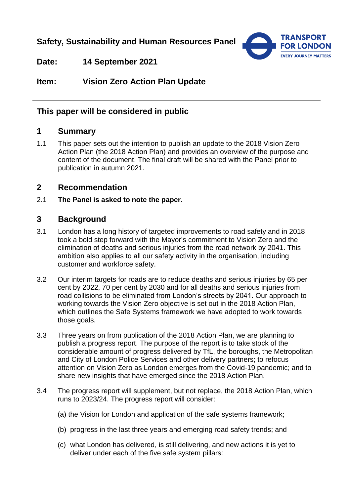**Safety, Sustainability and Human Resources Panel**



**Date: 14 September 2021**

**Item: Vision Zero Action Plan Update**

## **This paper will be considered in public**

# **1 Summary**

1.1 This paper sets out the intention to publish an update to the 2018 Vision Zero Action Plan (the 2018 Action Plan) and provides an overview of the purpose and content of the document. The final draft will be shared with the Panel prior to publication in autumn 2021.

## **2 Recommendation**

2.1 **The Panel is asked to note the paper.** 

## **3 Background**

- 3.1 London has a long history of targeted improvements to road safety and in 2018 took a bold step forward with the Mayor's commitment to Vision Zero and the elimination of deaths and serious injuries from the road network by 2041. This ambition also applies to all our safety activity in the organisation, including customer and workforce safety.
- 3.2 Our interim targets for roads are to reduce deaths and serious injuries by 65 per cent by 2022, 70 per cent by 2030 and for all deaths and serious injuries from road collisions to be eliminated from London's streets by 2041. Our approach to working towards the Vision Zero objective is set out in the 2018 Action Plan, which outlines the Safe Systems framework we have adopted to work towards those goals.
- 3.3 Three years on from publication of the 2018 Action Plan, we are planning to publish a progress report. The purpose of the report is to take stock of the considerable amount of progress delivered by TfL, the boroughs, the Metropolitan and City of London Police Services and other delivery partners; to refocus attention on Vision Zero as London emerges from the Covid-19 pandemic; and to share new insights that have emerged since the 2018 Action Plan.
- 3.4 The progress report will supplement, but not replace, the 2018 Action Plan, which runs to 2023/24. The progress report will consider:
	- (a) the Vision for London and application of the safe systems framework;
	- (b) progress in the last three years and emerging road safety trends; and
	- (c) what London has delivered, is still delivering, and new actions it is yet to deliver under each of the five safe system pillars: